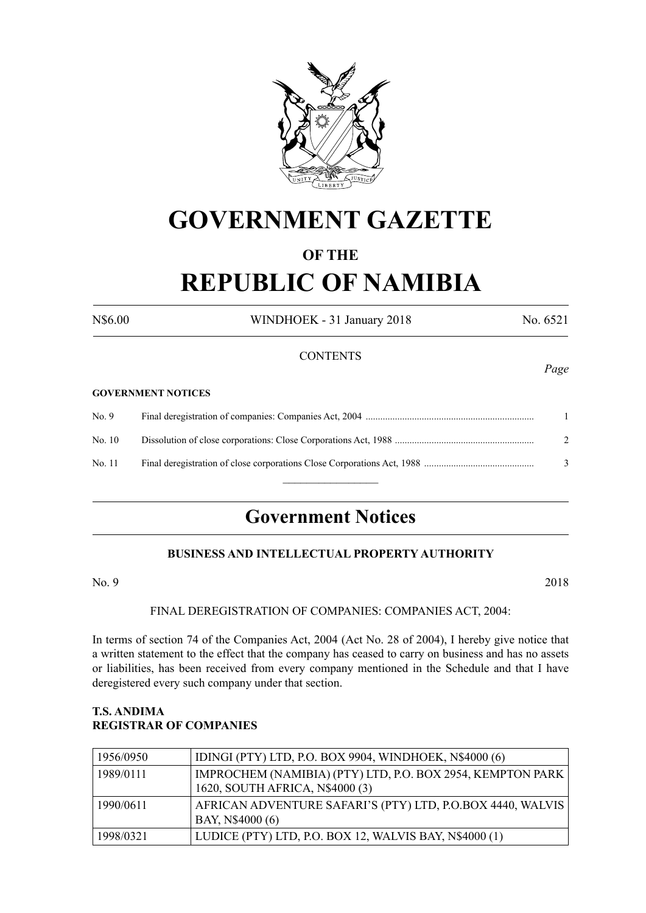

# **GOVERNMENT GAZETTE**

### **OF THE**

# **REPUBLIC OF NAMIBIA**

N\$6.00 WINDHOEK - 31 January 2018 No. 6521

#### **CONTENTS**

#### **GOVERNMENT NOTICES**

| No. 9  |   |
|--------|---|
| No. 10 |   |
| No. 11 | 3 |
|        |   |

## **Government Notices**

#### **BUSINESS AND INTELLECTUAL PROPERTY AUTHORITY**

No. 9 2018

FINAL DEREGISTRATION OF COMPANIES: COMPANIES ACT, 2004:

In terms of section 74 of the Companies Act, 2004 (Act No. 28 of 2004), I hereby give notice that a written statement to the effect that the company has ceased to carry on business and has no assets or liabilities, has been received from every company mentioned in the Schedule and that I have deregistered every such company under that section.

#### **T.S. ANDIMA REGISTRAR OF COMPANIES**

| 1956/0950 | IDINGI (PTY) LTD, P.O. BOX 9904, WINDHOEK, N\$4000 (6)     |
|-----------|------------------------------------------------------------|
| 1989/0111 | IMPROCHEM (NAMIBIA) (PTY) LTD, P.O. BOX 2954, KEMPTON PARK |
|           | 1620, SOUTH AFRICA, N\$4000 (3)                            |
| 1990/0611 | AFRICAN ADVENTURE SAFARI'S (PTY) LTD, P.O.BOX 4440, WALVIS |
|           | BAY, N\$4000 (6)                                           |
| 1998/0321 | LUDICE (PTY) LTD, P.O. BOX 12, WALVIS BAY, N\$4000 (1)     |

*Page*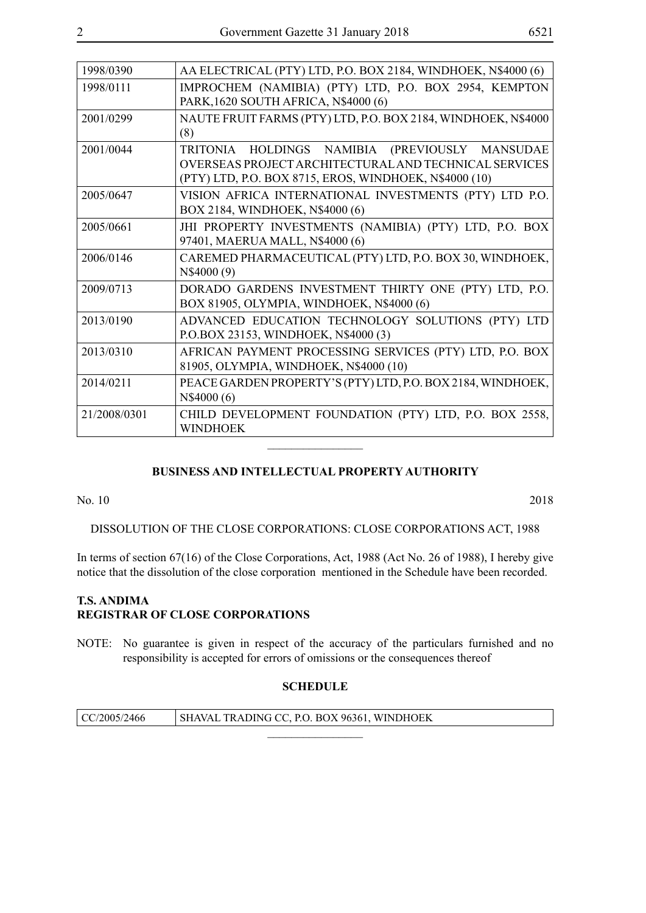| 1998/0390    | AA ELECTRICAL (PTY) LTD, P.O. BOX 2184, WINDHOEK, N\$4000 (6)                                                                                                     |
|--------------|-------------------------------------------------------------------------------------------------------------------------------------------------------------------|
| 1998/0111    | IMPROCHEM (NAMIBIA) (PTY) LTD, P.O. BOX 2954, KEMPTON<br>PARK, 1620 SOUTH AFRICA, N\$4000 (6)                                                                     |
| 2001/0299    | NAUTE FRUIT FARMS (PTY) LTD, P.O. BOX 2184, WINDHOEK, N\$4000<br>(8)                                                                                              |
| 2001/0044    | TRITONIA HOLDINGS NAMIBIA (PREVIOUSLY MANSUDAE<br>OVERSEAS PROJECT ARCHITECTURAL AND TECHNICAL SERVICES<br>(PTY) LTD, P.O. BOX 8715, EROS, WINDHOEK, N\$4000 (10) |
| 2005/0647    | VISION AFRICA INTERNATIONAL INVESTMENTS (PTY) LTD P.O.<br>BOX 2184, WINDHOEK, N\$4000 (6)                                                                         |
| 2005/0661    | JHI PROPERTY INVESTMENTS (NAMIBIA) (PTY) LTD, P.O. BOX<br>97401, MAERUA MALL, N\$4000 (6)                                                                         |
| 2006/0146    | CAREMED PHARMACEUTICAL (PTY) LTD, P.O. BOX 30, WINDHOEK,<br>N\$4000 (9)                                                                                           |
| 2009/0713    | DORADO GARDENS INVESTMENT THIRTY ONE (PTY) LTD, P.O.<br>BOX 81905, OLYMPIA, WINDHOEK, N\$4000 (6)                                                                 |
| 2013/0190    | ADVANCED EDUCATION TECHNOLOGY SOLUTIONS (PTY) LTD<br>P.O.BOX 23153, WINDHOEK, N\$4000 (3)                                                                         |
| 2013/0310    | AFRICAN PAYMENT PROCESSING SERVICES (PTY) LTD, P.O. BOX<br>81905, OLYMPIA, WINDHOEK, N\$4000 (10)                                                                 |
| 2014/0211    | PEACE GARDEN PROPERTY'S (PTY) LTD, P.O. BOX 2184, WINDHOEK,<br>N\$4000 (6)                                                                                        |
| 21/2008/0301 | CHILD DEVELOPMENT FOUNDATION (PTY) LTD, P.O. BOX 2558,<br><b>WINDHOEK</b>                                                                                         |

#### **BUSINESS AND INTELLECTUAL PROPERTY AUTHORITY**

 $\overline{\phantom{a}}$  , where  $\overline{\phantom{a}}$ 

No. 10 2018

DISSOLUTION OF THE CLOSE CORPORATIONS: CLOSE CORPORATIONS ACT, 1988

In terms of section 67(16) of the Close Corporations, Act, 1988 (Act No. 26 of 1988), I hereby give notice that the dissolution of the close corporation mentioned in the Schedule have been recorded.

#### **T.S. ANDIMA REGISTRAR OF CLOSE CORPORATIONS**

NOTE: No guarantee is given in respect of the accuracy of the particulars furnished and no responsibility is accepted for errors of omissions or the consequences thereof

### **SCHEDULE**

| CC/2005/2466 | SHAVAL TRADING CC, P.O. BOX 96361, WINDHOEK |
|--------------|---------------------------------------------|
|              |                                             |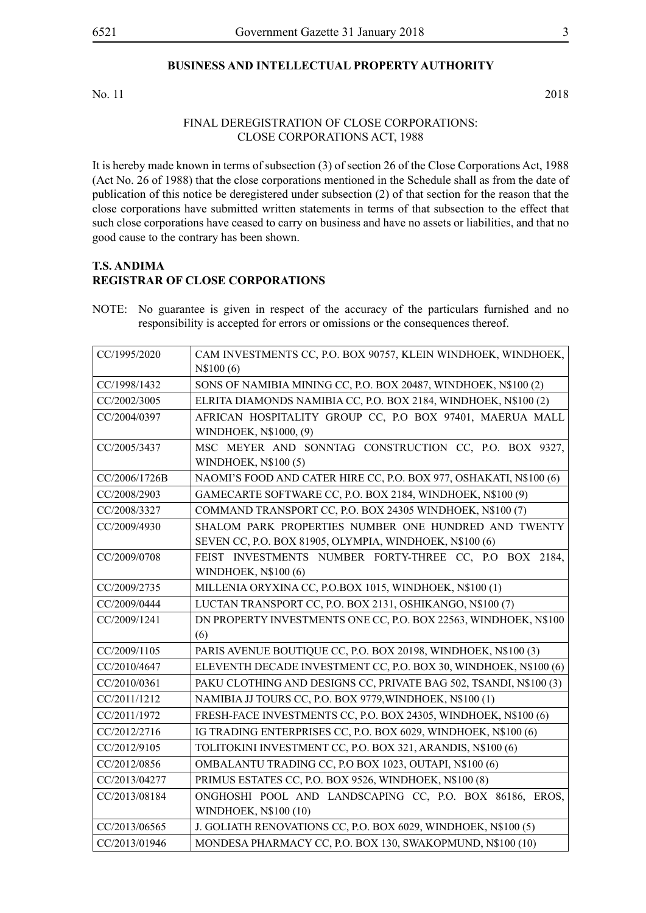#### **BUSINESS AND INTELLECTUAL PROPERTY AUTHORITY**

No. 11 2018

#### FINAL DEREGISTRATION OF CLOSE CORPORATIONS: CLOSE CORPORATIONS ACT, 1988

It is hereby made known in terms of subsection (3) of section 26 of the Close Corporations Act, 1988 (Act No. 26 of 1988) that the close corporations mentioned in the Schedule shall as from the date of publication of this notice be deregistered under subsection (2) of that section for the reason that the close corporations have submitted written statements in terms of that subsection to the effect that such close corporations have ceased to carry on business and have no assets or liabilities, and that no good cause to the contrary has been shown.

#### **T.S. ANDIMA REGISTRAR OF CLOSE CORPORATIONS**

NOTE: No guarantee is given in respect of the accuracy of the particulars furnished and no responsibility is accepted for errors or omissions or the consequences thereof.

| CC/1995/2020  | CAM INVESTMENTS CC, P.O. BOX 90757, KLEIN WINDHOEK, WINDHOEK,      |
|---------------|--------------------------------------------------------------------|
|               | N\$100(6)                                                          |
| CC/1998/1432  | SONS OF NAMIBIA MINING CC, P.O. BOX 20487, WINDHOEK, N\$100 (2)    |
| CC/2002/3005  | ELRITA DIAMONDS NAMIBIA CC, P.O. BOX 2184, WINDHOEK, N\$100 (2)    |
| CC/2004/0397  | AFRICAN HOSPITALITY GROUP CC, P.O BOX 97401, MAERUA MALL           |
|               | WINDHOEK, N\$1000, (9)                                             |
| CC/2005/3437  | MSC MEYER AND SONNTAG CONSTRUCTION CC, P.O. BOX 9327,              |
|               | <b>WINDHOEK, N\$100(5)</b>                                         |
| CC/2006/1726B | NAOMI'S FOOD AND CATER HIRE CC, P.O. BOX 977, OSHAKATI, N\$100 (6) |
| CC/2008/2903  | GAMECARTE SOFTWARE CC, P.O. BOX 2184, WINDHOEK, N\$100 (9)         |
| CC/2008/3327  | COMMAND TRANSPORT CC, P.O. BOX 24305 WINDHOEK, N\$100 (7)          |
| CC/2009/4930  | SHALOM PARK PROPERTIES NUMBER ONE HUNDRED AND TWENTY               |
|               | SEVEN CC, P.O. BOX 81905, OLYMPIA, WINDHOEK, N\$100 (6)            |
| CC/2009/0708  | FEIST INVESTMENTS NUMBER FORTY-THREE CC, P.O BOX 2184,             |
|               | <b>WINDHOEK, N\$100 (6)</b>                                        |
| CC/2009/2735  | MILLENIA ORYXINA CC, P.O.BOX 1015, WINDHOEK, N\$100 (1)            |
| CC/2009/0444  | LUCTAN TRANSPORT CC, P.O. BOX 2131, OSHIKANGO, N\$100 (7)          |
| CC/2009/1241  | DN PROPERTY INVESTMENTS ONE CC, P.O. BOX 22563, WINDHOEK, N\$100   |
|               | (6)                                                                |
| CC/2009/1105  | PARIS AVENUE BOUTIQUE CC, P.O. BOX 20198, WINDHOEK, N\$100 (3)     |
| CC/2010/4647  | ELEVENTH DECADE INVESTMENT CC, P.O. BOX 30, WINDHOEK, N\$100 (6)   |
| CC/2010/0361  | PAKU CLOTHING AND DESIGNS CC, PRIVATE BAG 502, TSANDI, N\$100 (3)  |
| CC/2011/1212  | NAMIBIA JJ TOURS CC, P.O. BOX 9779, WINDHOEK, N\$100 (1)           |
| CC/2011/1972  | FRESH-FACE INVESTMENTS CC, P.O. BOX 24305, WINDHOEK, N\$100 (6)    |
| CC/2012/2716  | IG TRADING ENTERPRISES CC, P.O. BOX 6029, WINDHOEK, N\$100 (6)     |
| CC/2012/9105  | TOLITOKINI INVESTMENT CC, P.O. BOX 321, ARANDIS, N\$100 (6)        |
| CC/2012/0856  | OMBALANTU TRADING CC, P.O BOX 1023, OUTAPI, N\$100 (6)             |
| CC/2013/04277 | PRIMUS ESTATES CC, P.O. BOX 9526, WINDHOEK, N\$100 (8)             |
| CC/2013/08184 | ONGHOSHI POOL AND LANDSCAPING CC, P.O. BOX 86186, EROS,            |
|               | WINDHOEK, N\$100 (10)                                              |
| CC/2013/06565 | J. GOLIATH RENOVATIONS CC, P.O. BOX 6029, WINDHOEK, N\$100 (5)     |
| CC/2013/01946 | MONDESA PHARMACY CC, P.O. BOX 130, SWAKOPMUND, N\$100 (10)         |